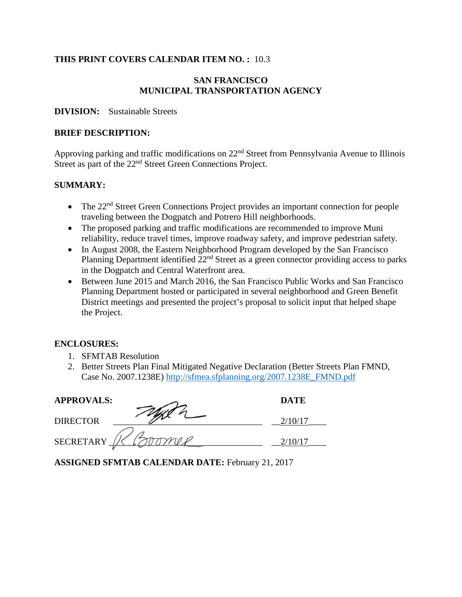## **THIS PRINT COVERS CALENDAR ITEM NO. :** 10.3

## **SAN FRANCISCO MUNICIPAL TRANSPORTATION AGENCY**

#### **DIVISION:** Sustainable Streets

#### **BRIEF DESCRIPTION:**

Approving parking and traffic modifications on 22nd Street from Pennsylvania Avenue to Illinois Street as part of the 22<sup>nd</sup> Street Green Connections Project.

### **SUMMARY:**

- The 22<sup>nd</sup> Street Green Connections Project provides an important connection for people traveling between the Dogpatch and Potrero Hill neighborhoods.
- The proposed parking and traffic modifications are recommended to improve Muni reliability, reduce travel times, improve roadway safety, and improve pedestrian safety.
- In August 2008, the Eastern Neighborhood Program developed by the San Francisco Planning Department identified  $22<sup>nd</sup>$  Street as a green connector providing access to parks in the Dogpatch and Central Waterfront area.
- Between June 2015 and March 2016, the San Francisco Public Works and San Francisco Planning Department hosted or participated in several neighborhood and Green Benefit District meetings and presented the project's proposal to solicit input that helped shape the Project.

### **ENCLOSURES:**

- 1. SFMTAB Resolution
- 2. Better Streets Plan Final Mitigated Negative Declaration (Better Streets Plan FMND, Case No. 2007.1238E) http://sfmea.sfplanning.org/2007.1238E\_FMND.pdf

| <b>APPROVALS:</b> | <b>DATE</b> |
|-------------------|-------------|
| DIRECTOR          |             |
| <b>SECRETARY</b>  |             |

**ASSIGNED SFMTAB CALENDAR DATE:** February 21, 2017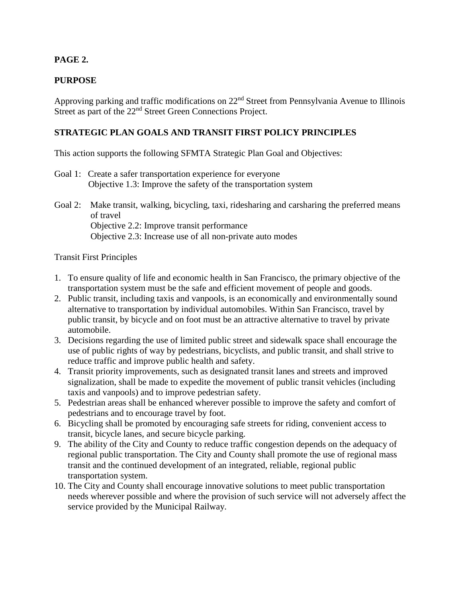# **PAGE 2.**

# **PURPOSE**

Approving parking and traffic modifications on 22nd Street from Pennsylvania Avenue to Illinois Street as part of the 22<sup>nd</sup> Street Green Connections Project.

# **STRATEGIC PLAN GOALS AND TRANSIT FIRST POLICY PRINCIPLES**

This action supports the following SFMTA Strategic Plan Goal and Objectives:

- Goal 1: Create a safer transportation experience for everyone Objective 1.3: Improve the safety of the transportation system
- Goal 2: Make transit, walking, bicycling, taxi, ridesharing and carsharing the preferred means of travel Objective 2.2: Improve transit performance Objective 2.3: Increase use of all non-private auto modes

### Transit First Principles

- 1. To ensure quality of life and economic health in San Francisco, the primary objective of the transportation system must be the safe and efficient movement of people and goods.
- 2. Public transit, including taxis and vanpools, is an economically and environmentally sound alternative to transportation by individual automobiles. Within San Francisco, travel by public transit, by bicycle and on foot must be an attractive alternative to travel by private automobile.
- 3. Decisions regarding the use of limited public street and sidewalk space shall encourage the use of public rights of way by pedestrians, bicyclists, and public transit, and shall strive to reduce traffic and improve public health and safety.
- 4. Transit priority improvements, such as designated transit lanes and streets and improved signalization, shall be made to expedite the movement of public transit vehicles (including taxis and vanpools) and to improve pedestrian safety.
- 5. Pedestrian areas shall be enhanced wherever possible to improve the safety and comfort of pedestrians and to encourage travel by foot.
- 6. Bicycling shall be promoted by encouraging safe streets for riding, convenient access to transit, bicycle lanes, and secure bicycle parking.
- 9. The ability of the City and County to reduce traffic congestion depends on the adequacy of regional public transportation. The City and County shall promote the use of regional mass transit and the continued development of an integrated, reliable, regional public transportation system.
- 10. The City and County shall encourage innovative solutions to meet public transportation needs wherever possible and where the provision of such service will not adversely affect the service provided by the Municipal Railway.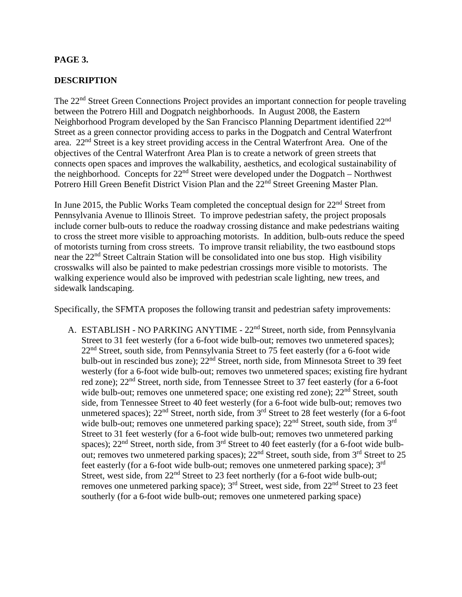## **PAGE 3.**

### **DESCRIPTION**

The 22<sup>nd</sup> Street Green Connections Project provides an important connection for people traveling between the Potrero Hill and Dogpatch neighborhoods. In August 2008, the Eastern Neighborhood Program developed by the San Francisco Planning Department identified 22<sup>nd</sup> Street as a green connector providing access to parks in the Dogpatch and Central Waterfront area. 22nd Street is a key street providing access in the Central Waterfront Area. One of the objectives of the Central Waterfront Area Plan is to create a network of green streets that connects open spaces and improves the walkability, aesthetics, and ecological sustainability of the neighborhood. Concepts for  $22<sup>nd</sup>$  Street were developed under the Dogpatch – Northwest Potrero Hill Green Benefit District Vision Plan and the 22<sup>nd</sup> Street Greening Master Plan.

In June 2015, the Public Works Team completed the conceptual design for  $22<sup>nd</sup>$  Street from Pennsylvania Avenue to Illinois Street. To improve pedestrian safety, the project proposals include corner bulb-outs to reduce the roadway crossing distance and make pedestrians waiting to cross the street more visible to approaching motorists. In addition, bulb-outs reduce the speed of motorists turning from cross streets. To improve transit reliability, the two eastbound stops near the 22<sup>nd</sup> Street Caltrain Station will be consolidated into one bus stop. High visibility crosswalks will also be painted to make pedestrian crossings more visible to motorists. The walking experience would also be improved with pedestrian scale lighting, new trees, and sidewalk landscaping.

Specifically, the SFMTA proposes the following transit and pedestrian safety improvements:

A. ESTABLISH - NO PARKING ANYTIME - 22<sup>nd</sup> Street, north side, from Pennsylvania Street to 31 feet westerly (for a 6-foot wide bulb-out; removes two unmetered spaces); 22<sup>nd</sup> Street, south side, from Pennsylvania Street to 75 feet easterly (for a 6-foot wide bulb-out in rescinded bus zone); 22<sup>nd</sup> Street, north side, from Minnesota Street to 39 feet westerly (for a 6-foot wide bulb-out; removes two unmetered spaces; existing fire hydrant red zone); 22<sup>nd</sup> Street, north side, from Tennessee Street to 37 feet easterly (for a 6-foot wide bulb-out; removes one unmetered space; one existing red zone);  $22<sup>nd</sup>$  Street, south side, from Tennessee Street to 40 feet westerly (for a 6-foot wide bulb-out; removes two unmetered spaces);  $22<sup>nd</sup>$  Street, north side, from  $3<sup>rd</sup>$  Street to 28 feet westerly (for a 6-foot wide bulb-out; removes one unmetered parking space);  $22<sup>nd</sup>$  Street, south side, from  $3<sup>rd</sup>$ Street to 31 feet westerly (for a 6-foot wide bulb-out; removes two unmetered parking spaces);  $22<sup>nd</sup>$  Street, north side, from  $3<sup>rd</sup>$  Street to 40 feet easterly (for a 6-foot wide bulbout; removes two unmetered parking spaces);  $22<sup>nd</sup>$  Street, south side, from  $3<sup>rd</sup>$  Street to 25 feet easterly (for a 6-foot wide bulb-out; removes one unmetered parking space); 3<sup>rd</sup> Street, west side, from 22<sup>nd</sup> Street to 23 feet northerly (for a 6-foot wide bulb-out; removes one unmetered parking space);  $3<sup>rd</sup>$  Street, west side, from  $22<sup>nd</sup>$  Street to 23 feet southerly (for a 6-foot wide bulb-out; removes one unmetered parking space)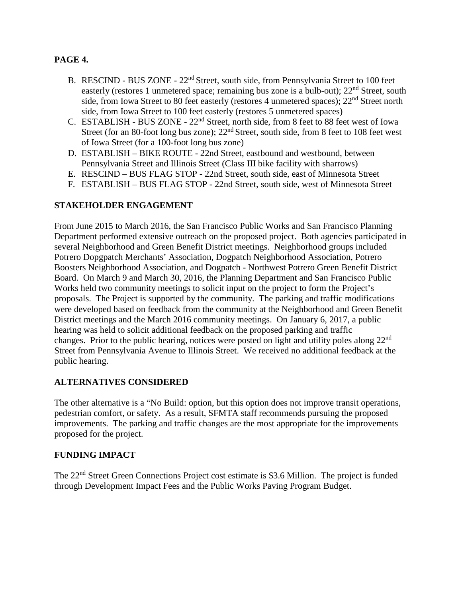# **PAGE 4.**

- B. RESCIND BUS ZONE 22<sup>nd</sup> Street, south side, from Pennsylvania Street to 100 feet easterly (restores 1 unmetered space; remaining bus zone is a bulb-out); 22<sup>nd</sup> Street, south side, from Iowa Street to 80 feet easterly (restores 4 unmetered spaces);  $22<sup>nd</sup>$  Street north side, from Iowa Street to 100 feet easterly (restores 5 unmetered spaces)
- C. ESTABLISH BUS ZONE 22nd Street, north side, from 8 feet to 88 feet west of Iowa Street (for an 80-foot long bus zone);  $22<sup>nd</sup>$  Street, south side, from 8 feet to 108 feet west of Iowa Street (for a 100-foot long bus zone)
- D. ESTABLISH BIKE ROUTE 22nd Street, eastbound and westbound, between Pennsylvania Street and Illinois Street (Class III bike facility with sharrows)
- E. RESCIND BUS FLAG STOP 22nd Street, south side, east of Minnesota Street
- F. ESTABLISH BUS FLAG STOP 22nd Street, south side, west of Minnesota Street

# **STAKEHOLDER ENGAGEMENT**

From June 2015 to March 2016, the San Francisco Public Works and San Francisco Planning Department performed extensive outreach on the proposed project. Both agencies participated in several Neighborhood and Green Benefit District meetings. Neighborhood groups included Potrero Dopgpatch Merchants' Association, Dogpatch Neighborhood Association, Potrero Boosters Neighborhood Association, and Dogpatch - Northwest Potrero Green Benefit District Board. On March 9 and March 30, 2016, the Planning Department and San Francisco Public Works held two community meetings to solicit input on the project to form the Project's proposals. The Project is supported by the community. The parking and traffic modifications were developed based on feedback from the community at the Neighborhood and Green Benefit District meetings and the March 2016 community meetings. On January 6, 2017, a public hearing was held to solicit additional feedback on the proposed parking and traffic changes. Prior to the public hearing, notices were posted on light and utility poles along  $22<sup>nd</sup>$ Street from Pennsylvania Avenue to Illinois Street. We received no additional feedback at the public hearing.

# **ALTERNATIVES CONSIDERED**

The other alternative is a "No Build: option, but this option does not improve transit operations, pedestrian comfort, or safety. As a result, SFMTA staff recommends pursuing the proposed improvements. The parking and traffic changes are the most appropriate for the improvements proposed for the project.

# **FUNDING IMPACT**

The 22<sup>nd</sup> Street Green Connections Project cost estimate is \$3.6 Million. The project is funded through Development Impact Fees and the Public Works Paving Program Budget.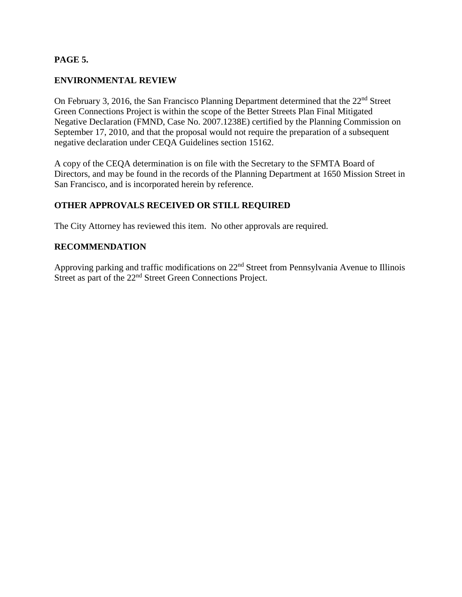# **PAGE 5.**

# **ENVIRONMENTAL REVIEW**

On February 3, 2016, the San Francisco Planning Department determined that the 22<sup>nd</sup> Street Green Connections Project is within the scope of the Better Streets Plan Final Mitigated Negative Declaration (FMND, Case No. 2007.1238E) certified by the Planning Commission on September 17, 2010, and that the proposal would not require the preparation of a subsequent negative declaration under CEQA Guidelines section 15162.

A copy of the CEQA determination is on file with the Secretary to the SFMTA Board of Directors, and may be found in the records of the Planning Department at 1650 Mission Street in San Francisco, and is incorporated herein by reference.

# **OTHER APPROVALS RECEIVED OR STILL REQUIRED**

The City Attorney has reviewed this item. No other approvals are required.

# **RECOMMENDATION**

Approving parking and traffic modifications on 22nd Street from Pennsylvania Avenue to Illinois Street as part of the 22<sup>nd</sup> Street Green Connections Project.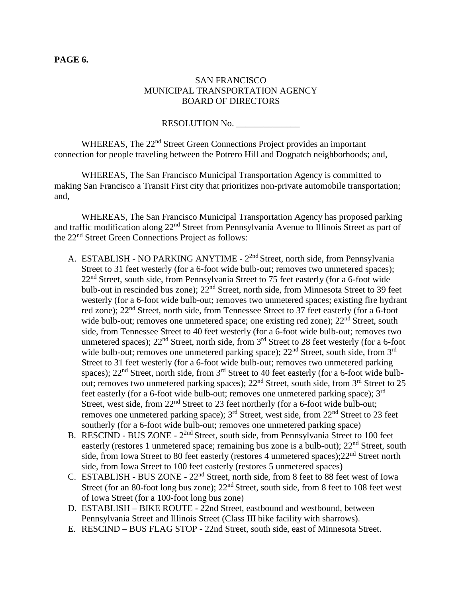#### **PAGE 6.**

## SAN FRANCISCO MUNICIPAL TRANSPORTATION AGENCY BOARD OF DIRECTORS

RESOLUTION No.

WHEREAS, The 22<sup>nd</sup> Street Green Connections Project provides an important connection for people traveling between the Potrero Hill and Dogpatch neighborhoods; and,

WHEREAS, The San Francisco Municipal Transportation Agency is committed to making San Francisco a Transit First city that prioritizes non-private automobile transportation; and,

WHEREAS, The San Francisco Municipal Transportation Agency has proposed parking and traffic modification along 22nd Street from Pennsylvania Avenue to Illinois Street as part of the 22nd Street Green Connections Project as follows:

- A. ESTABLISH NO PARKING ANYTIME 2<sup>2nd</sup> Street, north side, from Pennsylvania Street to 31 feet westerly (for a 6-foot wide bulb-out; removes two unmetered spaces); 22<sup>nd</sup> Street, south side, from Pennsylvania Street to 75 feet easterly (for a 6-foot wide bulb-out in rescinded bus zone);  $22<sup>nd</sup>$  Street, north side, from Minnesota Street to 39 feet westerly (for a 6-foot wide bulb-out; removes two unmetered spaces; existing fire hydrant red zone); 22<sup>nd</sup> Street, north side, from Tennessee Street to 37 feet easterly (for a 6-foot wide bulb-out; removes one unmetered space; one existing red zone);  $22<sup>nd</sup>$  Street, south side, from Tennessee Street to 40 feet westerly (for a 6-foot wide bulb-out; removes two unmetered spaces);  $22<sup>nd</sup>$  Street, north side, from  $3<sup>rd</sup>$  Street to 28 feet westerly (for a 6-foot wide bulb-out; removes one unmetered parking space); 22<sup>nd</sup> Street, south side, from 3<sup>rd</sup> Street to 31 feet westerly (for a 6-foot wide bulb-out; removes two unmetered parking spaces);  $22<sup>nd</sup>$  Street, north side, from  $3<sup>rd</sup>$  Street to 40 feet easterly (for a 6-foot wide bulbout; removes two unmetered parking spaces);  $22<sup>nd</sup>$  Street, south side, from  $3<sup>rd</sup>$  Street to 25 feet easterly (for a 6-foot wide bulb-out; removes one unmetered parking space);  $3<sup>rd</sup>$ Street, west side, from 22<sup>nd</sup> Street to 23 feet northerly (for a 6-foot wide bulb-out; removes one unmetered parking space); 3rd Street, west side, from 22nd Street to 23 feet southerly (for a 6-foot wide bulb-out; removes one unmetered parking space)
- B. RESCIND BUS ZONE  $2^{2nd}$  Street, south side, from Pennsylvania Street to 100 feet easterly (restores 1 unmetered space; remaining bus zone is a bulb-out);  $22<sup>nd</sup>$  Street, south side, from Iowa Street to 80 feet easterly (restores 4 unmetered spaces); 22<sup>nd</sup> Street north side, from Iowa Street to 100 feet easterly (restores 5 unmetered spaces)
- C. ESTABLISH BUS ZONE 22nd Street, north side, from 8 feet to 88 feet west of Iowa Street (for an 80-foot long bus zone);  $22<sup>nd</sup>$  Street, south side, from 8 feet to 108 feet west of Iowa Street (for a 100-foot long bus zone)
- D. ESTABLISH BIKE ROUTE 22nd Street, eastbound and westbound, between Pennsylvania Street and Illinois Street (Class III bike facility with sharrows).
- E. RESCIND BUS FLAG STOP 22nd Street, south side, east of Minnesota Street.